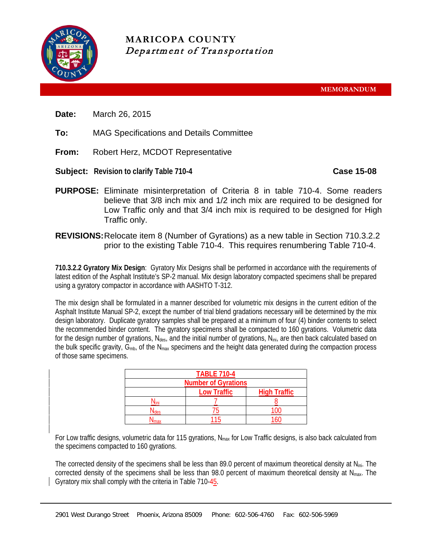

**MARICOPA COUNTY** Department of Transportation

**MEMORANDUM**

- **Date:** March 26, 2015
- **To:** MAG Specifications and Details Committee
- **From:** Robert Herz, MCDOT Representative
- **Subject:** Revision to clarify Table 710-4 **Case 15-08**

- **PURPOSE:** Eliminate misinterpretation of Criteria 8 in table 710-4. Some readers believe that 3/8 inch mix and 1/2 inch mix are required to be designed for Low Traffic only and that 3/4 inch mix is required to be designed for High Traffic only.
- **REVISIONS:**Relocate item 8 (Number of Gyrations) as a new table in Section 710.3.2.2 prior to the existing Table 710-4. This requires renumbering Table 710-4.

**710.3.2.2 Gyratory Mix Design**: Gyratory Mix Designs shall be performed in accordance with the requirements of latest edition of the Asphalt Institute's SP-2 manual. Mix design laboratory compacted specimens shall be prepared using a gyratory compactor in accordance with AASHTO T-312.

The mix design shall be formulated in a manner described for volumetric mix designs in the current edition of the Asphalt Institute Manual SP-2, except the number of trial blend gradations necessary will be determined by the mix design laboratory. Duplicate gyratory samples shall be prepared at a minimum of four (4) binder contents to select the recommended binder content. The gyratory specimens shall be compacted to 160 gyrations. Volumetric data for the design number of gyrations,  $N_{des}$ , and the initial number of gyrations,  $N_{ini}$ , are then back calculated based on the bulk specific gravity,  $G_{mb}$ , of the N<sub>max</sub> specimens and the height data generated during the compaction process of those same specimens.

| <b>TABLE 710-4</b>         |                    |                     |  |  |  |
|----------------------------|--------------------|---------------------|--|--|--|
| <b>Number of Gyrations</b> |                    |                     |  |  |  |
|                            | <b>Low Traffic</b> | <b>High Traffic</b> |  |  |  |
|                            |                    |                     |  |  |  |
|                            |                    |                     |  |  |  |
|                            |                    |                     |  |  |  |

For Low traffic designs, volumetric data for 115 gyrations,  $N_{max}$  for Low Traffic designs, is also back calculated from the specimens compacted to 160 gyrations.

The corrected density of the specimens shall be less than 89.0 percent of maximum theoretical density at Nini. The corrected density of the specimens shall be less than 98.0 percent of maximum theoretical density at  $N_{\text{max}}$ . The Gyratory mix shall comply with the criteria in Table 710-45.